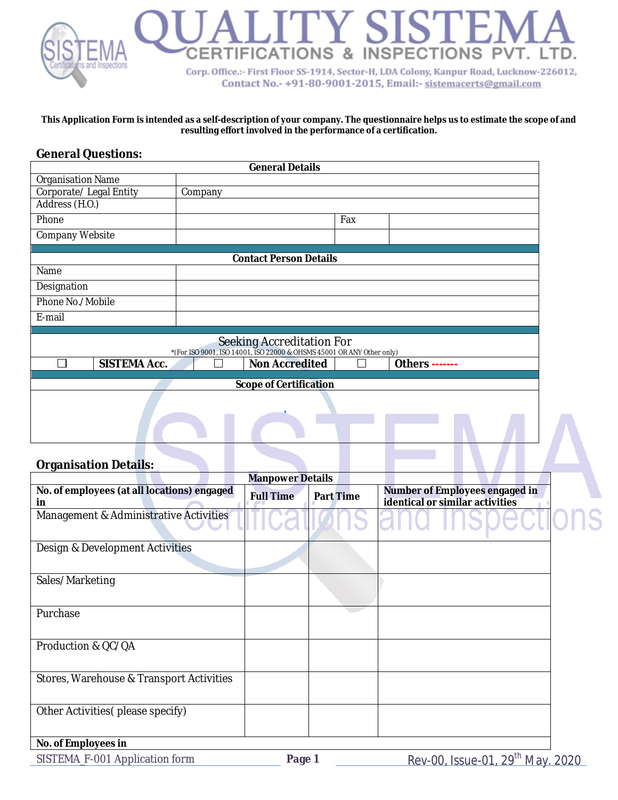# **LEATIONS & INSPECTIONS PV** Corp. Office.:- First Floor SS-1914, Sector-H, LDA Colony, Kanpur Road, Lucknow-226012, Contact No.- +91-80-9001-2015, Email:- sistemacerts@gmail.com

#### **This Application Form is intended as a self-description of your company. The questionnaire helps us to estimate the scope of and resulting effort involved in the performance of a certification.**

### **General Questions:**

|                               | <b>General Details</b>                                                                             |  |
|-------------------------------|----------------------------------------------------------------------------------------------------|--|
| <b>Organisation Name</b>      |                                                                                                    |  |
| Corporate/ Legal Entity       | Company                                                                                            |  |
| Address (H.O.)                |                                                                                                    |  |
| Phone                         | Fax                                                                                                |  |
| Company Website               |                                                                                                    |  |
|                               | <b>Contact Person Details</b>                                                                      |  |
| Name                          |                                                                                                    |  |
| Designation                   |                                                                                                    |  |
| Phone No./Mobile              |                                                                                                    |  |
| E-mail                        |                                                                                                    |  |
|                               | Seeking Accreditation For<br>*(For ISO 9001, ISO 14001, ISO 22000 & OHSMS 45001 OR ANY Other only) |  |
| <b>SISTEMA Acc.</b><br>$\sim$ | <b>Non Accredited</b><br>Others -------                                                            |  |
|                               | <b>Scope of Certification</b>                                                                      |  |
|                               |                                                                                                    |  |
|                               |                                                                                                    |  |
|                               |                                                                                                    |  |

#### **Organisation Details:**

|                                                   | <b>Manpower Details</b> |                  |                                                                   |  |
|---------------------------------------------------|-------------------------|------------------|-------------------------------------------------------------------|--|
| No. of employees (at all locations) engaged<br>in | <b>Full Time</b>        | <b>Part Time</b> | Number of Employees engaged in<br>identical or similar activities |  |
| Management & Administrative Activities            |                         |                  |                                                                   |  |
| Design & Development Activities                   |                         |                  |                                                                   |  |
| Sales/Marketing                                   |                         |                  |                                                                   |  |
| Purchase                                          |                         |                  |                                                                   |  |
| Production & QC/QA                                |                         |                  |                                                                   |  |
| Stores, Warehouse & Transport Activities          |                         |                  |                                                                   |  |
| Other Activities (please specify)                 |                         |                  |                                                                   |  |
| No. of Employees in                               |                         |                  |                                                                   |  |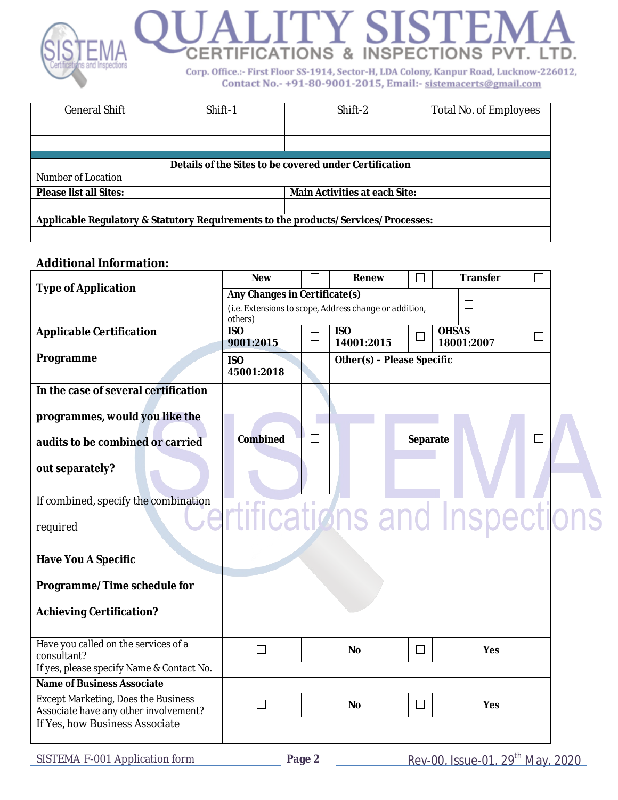

| <b>General Shift</b>          | Shift-1 | Shift-2                                                                            | Total No. of Employees |
|-------------------------------|---------|------------------------------------------------------------------------------------|------------------------|
|                               |         |                                                                                    |                        |
|                               |         |                                                                                    |                        |
|                               |         |                                                                                    |                        |
|                               |         | Details of the Sites to be covered under Certification                             |                        |
| Number of Location            |         |                                                                                    |                        |
| <b>Please list all Sites:</b> |         | <b>Main Activities at each Site:</b>                                               |                        |
|                               |         |                                                                                    |                        |
|                               |         | Applicable Regulatory & Statutory Requirements to the products/Services/Processes: |                        |
|                               |         |                                                                                    |                        |

## **Additional Information:**

|                                                                                     | <b>New</b>                    |              | Renew                                                  |          | <b>Transfer</b>            |              |
|-------------------------------------------------------------------------------------|-------------------------------|--------------|--------------------------------------------------------|----------|----------------------------|--------------|
| <b>Type of Application</b>                                                          | Any Changes in Certificate(s) |              |                                                        |          |                            |              |
|                                                                                     | others)                       |              | (i.e. Extensions to scope, Address change or addition, |          | $\mathsf{L}$               |              |
| <b>Applicable Certification</b>                                                     | <b>ISO</b><br>9001:2015       | $\Box$       | <b>ISO</b><br>14001:2015                               | $\Box$   | <b>OHSAS</b><br>18001:2007 | $\mathsf{L}$ |
| Programme                                                                           | <b>ISO</b><br>45001:2018      | $\Box$       | Other(s) - Please Specific                             |          |                            |              |
| In the case of several certification                                                |                               |              |                                                        |          |                            |              |
| programmes, would you like the                                                      |                               |              |                                                        |          |                            |              |
|                                                                                     |                               |              |                                                        |          |                            |              |
| audits to be combined or carried                                                    | Combined                      | $\mathbf{I}$ |                                                        | Separate |                            |              |
| out separately?                                                                     |                               |              |                                                        |          |                            |              |
| If combined, specify the combination                                                |                               |              |                                                        |          |                            |              |
| required                                                                            |                               |              |                                                        |          | rtifications and Inspecti  |              |
| <b>Have You A Specific</b>                                                          |                               |              |                                                        |          |                            |              |
| Programme/Time schedule for<br><b>Achieving Certification?</b>                      |                               |              |                                                        |          |                            |              |
| Have you called on the services of a<br>consultant?                                 | $\Box$                        |              | <b>No</b>                                              | $\Box$   | Yes                        |              |
| If yes, please specify Name & Contact No.                                           |                               |              |                                                        |          |                            |              |
| <b>Name of Business Associate</b>                                                   |                               |              |                                                        |          |                            |              |
| <b>Except Marketing, Does the Business</b><br>Associate have any other involvement? | $\Box$                        |              | No                                                     | $\Box$   | Yes                        |              |
| If Yes, how Business Associate                                                      |                               |              |                                                        |          |                            |              |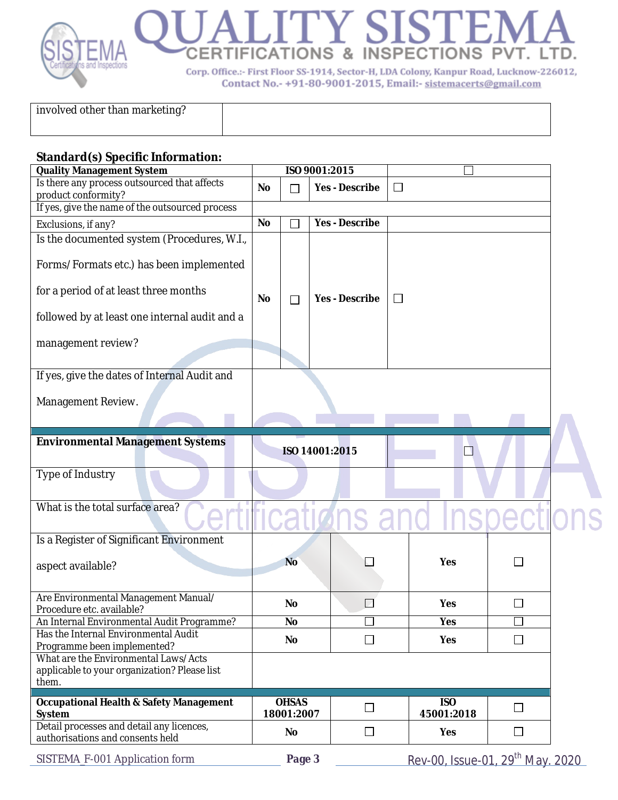

involved other than marketing?

#### **Standard(s) Specific Information:**

| <b>Quality Management System</b>                                                                                                                                                                                                                                                                                                                                                                                                                                                                                                                                                                                                                                                                                                                                                                                         |           |        |                       |              |  |  |
|--------------------------------------------------------------------------------------------------------------------------------------------------------------------------------------------------------------------------------------------------------------------------------------------------------------------------------------------------------------------------------------------------------------------------------------------------------------------------------------------------------------------------------------------------------------------------------------------------------------------------------------------------------------------------------------------------------------------------------------------------------------------------------------------------------------------------|-----------|--------|-----------------------|--------------|--|--|
| Is there any process outsourced that affects                                                                                                                                                                                                                                                                                                                                                                                                                                                                                                                                                                                                                                                                                                                                                                             |           |        |                       | $\mathbf{I}$ |  |  |
|                                                                                                                                                                                                                                                                                                                                                                                                                                                                                                                                                                                                                                                                                                                                                                                                                          |           |        |                       |              |  |  |
|                                                                                                                                                                                                                                                                                                                                                                                                                                                                                                                                                                                                                                                                                                                                                                                                                          |           |        |                       |              |  |  |
| Exclusions, if any?                                                                                                                                                                                                                                                                                                                                                                                                                                                                                                                                                                                                                                                                                                                                                                                                      |           |        |                       |              |  |  |
| Is the documented system (Procedures, W.I.,                                                                                                                                                                                                                                                                                                                                                                                                                                                                                                                                                                                                                                                                                                                                                                              |           |        |                       |              |  |  |
| Forms/Formats etc.) has been implemented                                                                                                                                                                                                                                                                                                                                                                                                                                                                                                                                                                                                                                                                                                                                                                                 |           |        |                       |              |  |  |
| for a period of at least three months                                                                                                                                                                                                                                                                                                                                                                                                                                                                                                                                                                                                                                                                                                                                                                                    | <b>No</b> | $\Box$ | <b>Yes - Describe</b> | $\Box$       |  |  |
| followed by at least one internal audit and a                                                                                                                                                                                                                                                                                                                                                                                                                                                                                                                                                                                                                                                                                                                                                                            |           |        |                       |              |  |  |
| management review?                                                                                                                                                                                                                                                                                                                                                                                                                                                                                                                                                                                                                                                                                                                                                                                                       |           |        |                       |              |  |  |
|                                                                                                                                                                                                                                                                                                                                                                                                                                                                                                                                                                                                                                                                                                                                                                                                                          |           |        |                       |              |  |  |
|                                                                                                                                                                                                                                                                                                                                                                                                                                                                                                                                                                                                                                                                                                                                                                                                                          |           |        |                       |              |  |  |
|                                                                                                                                                                                                                                                                                                                                                                                                                                                                                                                                                                                                                                                                                                                                                                                                                          |           |        |                       |              |  |  |
|                                                                                                                                                                                                                                                                                                                                                                                                                                                                                                                                                                                                                                                                                                                                                                                                                          |           |        |                       |              |  |  |
|                                                                                                                                                                                                                                                                                                                                                                                                                                                                                                                                                                                                                                                                                                                                                                                                                          |           |        |                       |              |  |  |
| <b>Environmental Management Systems</b>                                                                                                                                                                                                                                                                                                                                                                                                                                                                                                                                                                                                                                                                                                                                                                                  |           |        |                       |              |  |  |
|                                                                                                                                                                                                                                                                                                                                                                                                                                                                                                                                                                                                                                                                                                                                                                                                                          |           |        |                       |              |  |  |
|                                                                                                                                                                                                                                                                                                                                                                                                                                                                                                                                                                                                                                                                                                                                                                                                                          |           |        |                       |              |  |  |
|                                                                                                                                                                                                                                                                                                                                                                                                                                                                                                                                                                                                                                                                                                                                                                                                                          |           |        |                       |              |  |  |
| ISO 9001:2015<br><b>Yes - Describe</b><br>No<br>П<br>product conformity?<br>If yes, give the name of the outsourced process<br><b>Yes - Describe</b><br><b>No</b><br>If yes, give the dates of Internal Audit and<br>Management Review.<br>$\Box$<br>ISO 14001:2015<br>Type of Industry<br>What is the total surface area?<br>Is a Register of Significant Environment<br><b>No</b><br>Yes<br><b>No</b><br><b>Yes</b><br>$\overline{\phantom{a}}$<br><b>No</b><br>Yes<br>Has the Internal Environmental Audit<br>No<br>Yes<br>$\Box$<br>$\mathbf{L}$<br>Programme been implemented?<br>them.<br><b>OHSAS</b><br><b>ISO</b><br>$\Box$<br>$\Box$<br>18001:2007<br>45001:2018<br>Detail processes and detail any licences,<br>$\Box$<br>$\Box$<br>No<br>Yes<br><u>Rev-00, Issue-01, 29<sup>th</sup> May. 2020</u><br>Page 3 |           |        |                       |              |  |  |
| aspect available?                                                                                                                                                                                                                                                                                                                                                                                                                                                                                                                                                                                                                                                                                                                                                                                                        |           |        |                       |              |  |  |
| Are Environmental Management Manual/<br>Procedure etc. available?                                                                                                                                                                                                                                                                                                                                                                                                                                                                                                                                                                                                                                                                                                                                                        |           |        |                       |              |  |  |
| An Internal Environmental Audit Programme?                                                                                                                                                                                                                                                                                                                                                                                                                                                                                                                                                                                                                                                                                                                                                                               |           |        |                       |              |  |  |
|                                                                                                                                                                                                                                                                                                                                                                                                                                                                                                                                                                                                                                                                                                                                                                                                                          |           |        |                       |              |  |  |
| What are the Environmental Laws/Acts                                                                                                                                                                                                                                                                                                                                                                                                                                                                                                                                                                                                                                                                                                                                                                                     |           |        |                       |              |  |  |
| applicable to your organization? Please list                                                                                                                                                                                                                                                                                                                                                                                                                                                                                                                                                                                                                                                                                                                                                                             |           |        |                       |              |  |  |
|                                                                                                                                                                                                                                                                                                                                                                                                                                                                                                                                                                                                                                                                                                                                                                                                                          |           |        |                       |              |  |  |
| <b>Occupational Health &amp; Safety Management</b><br>System                                                                                                                                                                                                                                                                                                                                                                                                                                                                                                                                                                                                                                                                                                                                                             |           |        |                       |              |  |  |
| authorisations and consents held                                                                                                                                                                                                                                                                                                                                                                                                                                                                                                                                                                                                                                                                                                                                                                                         |           |        |                       |              |  |  |
| SISTEMA_F-001 Application form                                                                                                                                                                                                                                                                                                                                                                                                                                                                                                                                                                                                                                                                                                                                                                                           |           |        |                       |              |  |  |